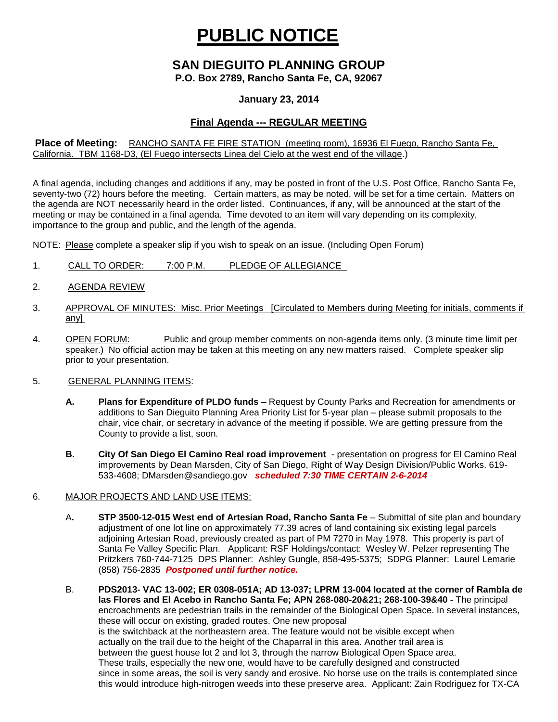# **PUBLIC NOTICE**

# **SAN DIEGUITO PLANNING GROUP**

**P.O. Box 2789, Rancho Santa Fe, CA, 92067**

### **January 23, 2014**

## **Final Agenda --- REGULAR MEETING**

#### **Place of Meeting:** RANCHO SANTA FE FIRE STATION (meeting room), 16936 El Fuego, Rancho Santa Fe, California. TBM 1168-D3, (El Fuego intersects Linea del Cielo at the west end of the village.)

A final agenda, including changes and additions if any, may be posted in front of the U.S. Post Office, Rancho Santa Fe, seventy-two (72) hours before the meeting. Certain matters, as may be noted, will be set for a time certain. Matters on the agenda are NOT necessarily heard in the order listed. Continuances, if any, will be announced at the start of the meeting or may be contained in a final agenda. Time devoted to an item will vary depending on its complexity, importance to the group and public, and the length of the agenda.

NOTE: Please complete a speaker slip if you wish to speak on an issue. (Including Open Forum)

- 1. CALL TO ORDER: 7:00 P.M. PLEDGE OF ALLEGIANCE
- 2. AGENDA REVIEW
- 3. APPROVAL OF MINUTES: Misc. Prior Meetings [Circulated to Members during Meeting for initials, comments if any]
- 4. OPEN FORUM: Public and group member comments on non-agenda items only. (3 minute time limit per speaker.) No official action may be taken at this meeting on any new matters raised. Complete speaker slip prior to your presentation.

#### 5. GENERAL PLANNING ITEMS:

- **A. Plans for Expenditure of PLDO funds –** Request by County Parks and Recreation for amendments or additions to San Dieguito Planning Area Priority List for 5-year plan – please submit proposals to the chair, vice chair, or secretary in advance of the meeting if possible. We are getting pressure from the County to provide a list, soon.
- **B. City Of San Diego El Camino Real road improvement**  presentation on progress for El Camino Real improvements by Dean Marsden, City of San Diego, Right of Way Design Division/Public Works. 619- 533-4608; [DMarsden@sandiego.gov](mailto:DMarsden@sandiego.gov) *scheduled 7:30 TIME CERTAIN 2-6-2014*

#### 6. MAJOR PROJECTS AND LAND USE ITEMS:

- A**. STP 3500-12-015 West end of Artesian Road, Rancho Santa Fe** Submittal of site plan and boundary adjustment of one lot line on approximately 77.39 acres of land containing six existing legal parcels adjoining Artesian Road, previously created as part of PM 7270 in May 1978. This property is part of Santa Fe Valley Specific Plan.Applicant: RSF Holdings/contact: Wesley W. Pelzer representing The Pritzkers 760-744-7125 DPS Planner: Ashley Gungle, 858-495-5375; SDPG Planner: Laurel Lemarie (858) 756-2835 *Postponed until further notice.*
- B. **PDS2013- VAC 13-002; ER 0308-051A; AD 13-037; LPRM 13-004 located at the corner of Rambla de las Flores and El Acebo in Rancho Santa Fe; APN 268-080-20&21; 268-100-39&40 -** The principal encroachments are pedestrian trails in the remainder of the Biological Open Space. In several instances, these will occur on existing, graded routes. One new proposal is the switchback at the northeastern area. The feature would not be visible except when actually on the trail due to the height of the Chaparral in this area. Another trail area is between the guest house lot 2 and lot 3, through the narrow Biological Open Space area. These trails, especially the new one, would have to be carefully designed and constructed since in some areas, the soil is very sandy and erosive. No horse use on the trails is contemplated since this would introduce high-nitrogen weeds into these preserve area. Applicant: Zain Rodriguez for TX-CA